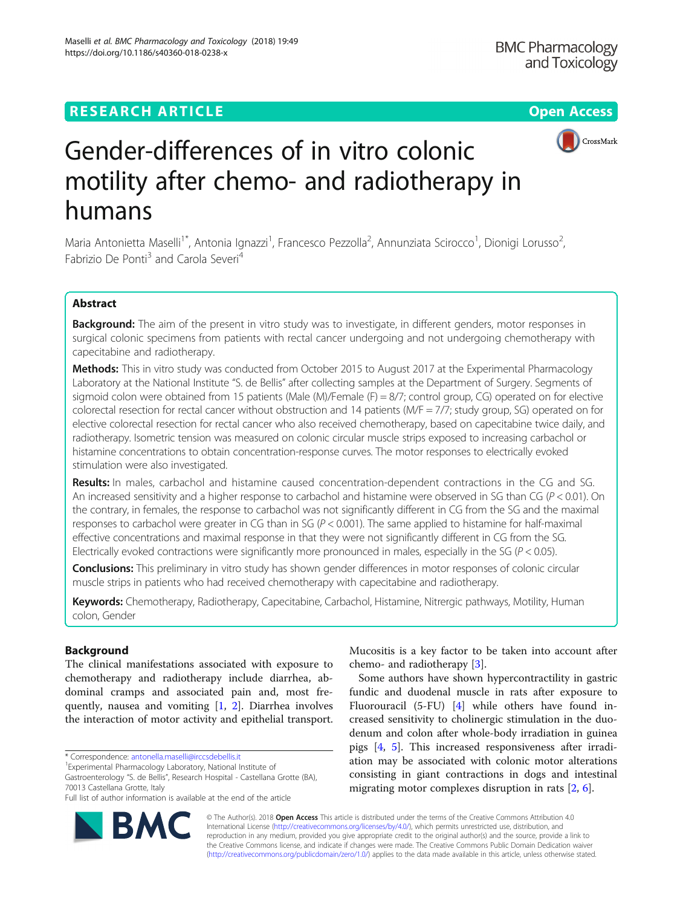https://doi.org/10.1186/s40360-018-0238-x

Maselli et al. BMC Pharmacology and Toxicology (2018) 19:49



# Gender-differences of in vitro colonic motility after chemo- and radiotherapy in humans

Maria Antonietta Maselli<sup>1\*</sup>, Antonia Ignazzi<sup>1</sup>, Francesco Pezzolla<sup>2</sup>, Annunziata Scirocco<sup>1</sup>, Dionigi Lorusso<sup>2</sup> , Fabrizio De Ponti<sup>3</sup> and Carola Severi<sup>4</sup>

# Abstract

Background: The aim of the present in vitro study was to investigate, in different genders, motor responses in surgical colonic specimens from patients with rectal cancer undergoing and not undergoing chemotherapy with capecitabine and radiotherapy.

Methods: This in vitro study was conducted from October 2015 to August 2017 at the Experimental Pharmacology Laboratory at the National Institute "S. de Bellis" after collecting samples at the Department of Surgery. Segments of sigmoid colon were obtained from 15 patients (Male (M)/Female (F) = 8/7; control group, CG) operated on for elective colorectal resection for rectal cancer without obstruction and 14 patients (M/F = 7/7; study group, SG) operated on for elective colorectal resection for rectal cancer who also received chemotherapy, based on capecitabine twice daily, and radiotherapy. Isometric tension was measured on colonic circular muscle strips exposed to increasing carbachol or histamine concentrations to obtain concentration-response curves. The motor responses to electrically evoked stimulation were also investigated.

Results: In males, carbachol and histamine caused concentration-dependent contractions in the CG and SG. An increased sensitivity and a higher response to carbachol and histamine were observed in SG than CG ( $P < 0.01$ ). On the contrary, in females, the response to carbachol was not significantly different in CG from the SG and the maximal responses to carbachol were greater in CG than in SG ( $P < 0.001$ ). The same applied to histamine for half-maximal effective concentrations and maximal response in that they were not significantly different in CG from the SG. Electrically evoked contractions were significantly more pronounced in males, especially in the SG ( $P < 0.05$ ).

Conclusions: This preliminary in vitro study has shown gender differences in motor responses of colonic circular muscle strips in patients who had received chemotherapy with capecitabine and radiotherapy.

Keywords: Chemotherapy, Radiotherapy, Capecitabine, Carbachol, Histamine, Nitrergic pathways, Motility, Human colon, Gender

## Background

The clinical manifestations associated with exposure to chemotherapy and radiotherapy include diarrhea, abdominal cramps and associated pain and, most frequently, nausea and vomiting [[1](#page-6-0), [2](#page-6-0)]. Diarrhea involves the interaction of motor activity and epithelial transport.

\* Correspondence: [antonella.maselli@irccsdebellis.it](mailto:antonella.maselli@irccsdebellis.it) <sup>1</sup>

RA



Some authors have shown hypercontractility in gastric fundic and duodenal muscle in rats after exposure to Fluorouracil (5-FU) [[4\]](#page-6-0) while others have found increased sensitivity to cholinergic stimulation in the duodenum and colon after whole-body irradiation in guinea pigs [\[4](#page-6-0), [5\]](#page-6-0). This increased responsiveness after irradiation may be associated with colonic motor alterations consisting in giant contractions in dogs and intestinal migrating motor complexes disruption in rats [\[2](#page-6-0), [6](#page-6-0)].

© The Author(s). 2018 Open Access This article is distributed under the terms of the Creative Commons Attribution 4.0 International License [\(http://creativecommons.org/licenses/by/4.0/](http://creativecommons.org/licenses/by/4.0/)), which permits unrestricted use, distribution, and reproduction in any medium, provided you give appropriate credit to the original author(s) and the source, provide a link to the Creative Commons license, and indicate if changes were made. The Creative Commons Public Domain Dedication waiver [\(http://creativecommons.org/publicdomain/zero/1.0/](http://creativecommons.org/publicdomain/zero/1.0/)) applies to the data made available in this article, unless otherwise stated.

Experimental Pharmacology Laboratory, National Institute of

Gastroenterology "S. de Bellis", Research Hospital - Castellana Grotte (BA), 70013 Castellana Grotte, Italy

Full list of author information is available at the end of the article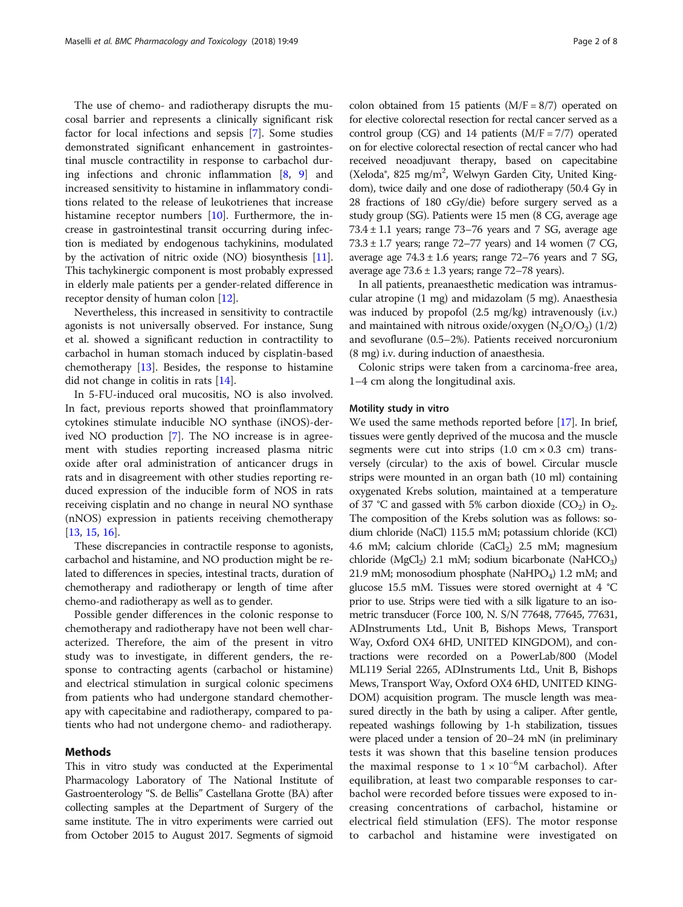The use of chemo- and radiotherapy disrupts the mucosal barrier and represents a clinically significant risk factor for local infections and sepsis [\[7](#page-6-0)]. Some studies demonstrated significant enhancement in gastrointestinal muscle contractility in response to carbachol during infections and chronic inflammation [[8,](#page-6-0) [9\]](#page-6-0) and increased sensitivity to histamine in inflammatory conditions related to the release of leukotrienes that increase histamine receptor numbers [\[10](#page-6-0)]. Furthermore, the increase in gastrointestinal transit occurring during infection is mediated by endogenous tachykinins, modulated by the activation of nitric oxide (NO) biosynthesis [[11](#page-6-0)]. This tachykinergic component is most probably expressed in elderly male patients per a gender-related difference in receptor density of human colon [\[12\]](#page-6-0).

Nevertheless, this increased in sensitivity to contractile agonists is not universally observed. For instance, Sung et al. showed a significant reduction in contractility to carbachol in human stomach induced by cisplatin-based chemotherapy [[13](#page-6-0)]. Besides, the response to histamine did not change in colitis in rats [[14\]](#page-6-0).

In 5-FU-induced oral mucositis, NO is also involved. In fact, previous reports showed that proinflammatory cytokines stimulate inducible NO synthase (iNOS)-derived NO production [\[7\]](#page-6-0). The NO increase is in agreement with studies reporting increased plasma nitric oxide after oral administration of anticancer drugs in rats and in disagreement with other studies reporting reduced expression of the inducible form of NOS in rats receiving cisplatin and no change in neural NO synthase (nNOS) expression in patients receiving chemotherapy [[13,](#page-6-0) [15,](#page-6-0) [16](#page-6-0)].

These discrepancies in contractile response to agonists, carbachol and histamine, and NO production might be related to differences in species, intestinal tracts, duration of chemotherapy and radiotherapy or length of time after chemo-and radiotherapy as well as to gender.

Possible gender differences in the colonic response to chemotherapy and radiotherapy have not been well characterized. Therefore, the aim of the present in vitro study was to investigate, in different genders, the response to contracting agents (carbachol or histamine) and electrical stimulation in surgical colonic specimens from patients who had undergone standard chemotherapy with capecitabine and radiotherapy, compared to patients who had not undergone chemo- and radiotherapy.

### Methods

This in vitro study was conducted at the Experimental Pharmacology Laboratory of The National Institute of Gastroenterology "S. de Bellis" Castellana Grotte (BA) after collecting samples at the Department of Surgery of the same institute. The in vitro experiments were carried out from October 2015 to August 2017. Segments of sigmoid

colon obtained from 15 patients  $(M/F = 8/7)$  operated on for elective colorectal resection for rectal cancer served as a control group (CG) and 14 patients  $(M/F = 7/7)$  operated on for elective colorectal resection of rectal cancer who had received neoadjuvant therapy, based on capecitabine (Xeloda®, 825 mg/m<sup>2</sup>, Welwyn Garden City, United Kingdom), twice daily and one dose of radiotherapy (50.4 Gy in 28 fractions of 180 cGy/die) before surgery served as a study group (SG). Patients were 15 men (8 CG, average age  $73.4 \pm 1.1$  years; range  $73-76$  years and  $7$  SG, average age  $73.3 \pm 1.7$  years; range  $72-77$  years) and 14 women (7 CG, average age  $74.3 \pm 1.6$  years; range  $72-76$  years and  $7 \text{ SG}$ , average age  $73.6 \pm 1.3$  years; range  $72-78$  years).

In all patients, preanaesthetic medication was intramuscular atropine (1 mg) and midazolam (5 mg). Anaesthesia was induced by propofol (2.5 mg/kg) intravenously (i.v.) and maintained with nitrous oxide/oxygen  $(N_2O/O_2)$  (1/2) and sevoflurane (0.5–2%). Patients received norcuronium (8 mg) i.v. during induction of anaesthesia.

Colonic strips were taken from a carcinoma-free area, 1–4 cm along the longitudinal axis.

#### Motility study in vitro

We used the same methods reported before [[17](#page-6-0)]. In brief, tissues were gently deprived of the mucosa and the muscle segments were cut into strips  $(1.0 \text{ cm} \times 0.3 \text{ cm})$  transversely (circular) to the axis of bowel. Circular muscle strips were mounted in an organ bath (10 ml) containing oxygenated Krebs solution, maintained at a temperature of 37 °C and gassed with 5% carbon dioxide  $(CO_2)$  in  $O_2$ . The composition of the Krebs solution was as follows: sodium chloride (NaCl) 115.5 mM; potassium chloride (KCl) 4.6 mM; calcium chloride  $(CaCl<sub>2</sub>)$  2.5 mM; magnesium chloride (MgCl<sub>2</sub>) 2.1 mM; sodium bicarbonate (NaHCO<sub>3</sub>) 21.9 mM; monosodium phosphate (NaHPO<sub>4</sub>) 1.2 mM; and glucose 15.5 mM. Tissues were stored overnight at 4 °C prior to use. Strips were tied with a silk ligature to an isometric transducer (Force 100, N. S/N 77648, 77645, 77631, ADInstruments Ltd., Unit B, Bishops Mews, Transport Way, Oxford OX4 6HD, UNITED KINGDOM), and contractions were recorded on a PowerLab/800 (Model ML119 Serial 2265, ADInstruments Ltd., Unit B, Bishops Mews, Transport Way, Oxford OX4 6HD, UNITED KING-DOM) acquisition program. The muscle length was measured directly in the bath by using a caliper. After gentle, repeated washings following by 1-h stabilization, tissues were placed under a tension of 20–24 mN (in preliminary tests it was shown that this baseline tension produces the maximal response to  $1 \times 10^{-6}$ M carbachol). After equilibration, at least two comparable responses to carbachol were recorded before tissues were exposed to increasing concentrations of carbachol, histamine or electrical field stimulation (EFS). The motor response to carbachol and histamine were investigated on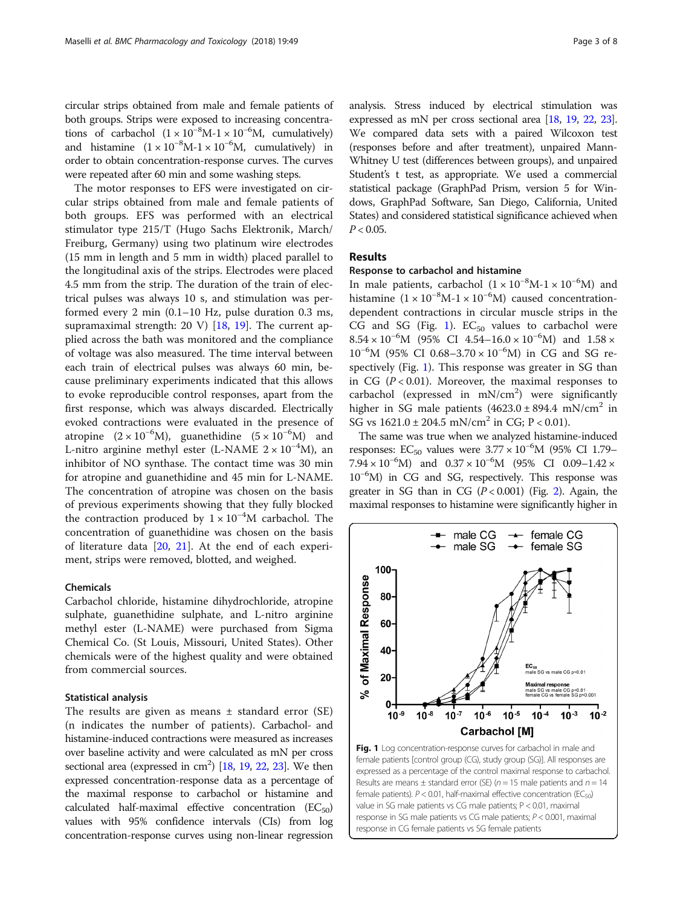<span id="page-2-0"></span>circular strips obtained from male and female patients of both groups. Strips were exposed to increasing concentrations of carbachol  $(1 \times 10^{-8} M - 1 \times 10^{-6} M)$ , cumulatively) and histamine  $(1 \times 10^{-8} M - 1 \times 10^{-6} M)$ , cumulatively) in order to obtain concentration-response curves. The curves were repeated after 60 min and some washing steps.

The motor responses to EFS were investigated on circular strips obtained from male and female patients of both groups. EFS was performed with an electrical stimulator type 215/T (Hugo Sachs Elektronik, March/ Freiburg, Germany) using two platinum wire electrodes (15 mm in length and 5 mm in width) placed parallel to the longitudinal axis of the strips. Electrodes were placed 4.5 mm from the strip. The duration of the train of electrical pulses was always 10 s, and stimulation was performed every 2 min (0.1–10 Hz, pulse duration 0.3 ms, supramaximal strength: 20 V) [[18](#page-6-0), [19](#page-6-0)]. The current applied across the bath was monitored and the compliance of voltage was also measured. The time interval between each train of electrical pulses was always 60 min, because preliminary experiments indicated that this allows to evoke reproducible control responses, apart from the first response, which was always discarded. Electrically evoked contractions were evaluated in the presence of atropine  $(2 \times 10^{-6} M)$ , guanethidine  $(5 \times 10^{-6} M)$  and L-nitro arginine methyl ester (L-NAME 2 × 10−<sup>4</sup> M), an inhibitor of NO synthase. The contact time was 30 min for atropine and guanethidine and 45 min for L-NAME. The concentration of atropine was chosen on the basis of previous experiments showing that they fully blocked the contraction produced by  $1 \times 10^{-4}$ M carbachol. The concentration of guanethidine was chosen on the basis of literature data [[20,](#page-6-0) [21](#page-6-0)]. At the end of each experiment, strips were removed, blotted, and weighed.

## Chemicals

Carbachol chloride, histamine dihydrochloride, atropine sulphate, guanethidine sulphate, and L-nitro arginine methyl ester (L-NAME) were purchased from Sigma Chemical Co. (St Louis, Missouri, United States). Other chemicals were of the highest quality and were obtained from commercial sources.

#### Statistical analysis

The results are given as means  $\pm$  standard error (SE) (n indicates the number of patients). Carbachol- and histamine-induced contractions were measured as increases over baseline activity and were calculated as mN per cross sectional area (expressed in  $\text{cm}^2$ ) [[18](#page-6-0), [19,](#page-6-0) [22,](#page-7-0) [23](#page-7-0)]. We then expressed concentration-response data as a percentage of the maximal response to carbachol or histamine and calculated half-maximal effective concentration  $(EC_{50})$ values with 95% confidence intervals (CIs) from log concentration-response curves using non-linear regression

analysis. Stress induced by electrical stimulation was expressed as mN per cross sectional area [\[18,](#page-6-0) [19](#page-6-0), [22](#page-7-0), [23](#page-7-0)]. We compared data sets with a paired Wilcoxon test (responses before and after treatment), unpaired Mann-Whitney U test (differences between groups), and unpaired Student's t test, as appropriate. We used a commercial statistical package (GraphPad Prism, version 5 for Windows, GraphPad Software, San Diego, California, United States) and considered statistical significance achieved when  $P < 0.05$ .

## Results

#### Response to carbachol and histamine

In male patients, carbachol  $(1 \times 10^{-8} M - 1 \times 10^{-6} M)$  and histamine  $(1 \times 10^{-8} M - 1 \times 10^{-6} M)$  caused concentrationdependent contractions in circular muscle strips in the CG and SG (Fig. 1).  $EC_{50}$  values to carbachol were  $8.54 \times 10^{-6}$ M (95% CI 4.54–16.0 × 10<sup>-6</sup>M) and 1.58 × 10−<sup>6</sup> M (95% CI 0.68–3.70 × 10−<sup>6</sup> M) in CG and SG respectively (Fig. 1). This response was greater in SG than in CG  $(P < 0.01)$ . Moreover, the maximal responses to carbachol (expressed in  $mN/cm<sup>2</sup>$ ) were significantly higher in SG male patients  $(4623.0 \pm 894.4 \text{ mN/cm}^2$  in SG vs  $1621.0 \pm 204.5 \text{ mN/cm}^2$  in CG; P < 0.01).

The same was true when we analyzed histamine-induced responses: EC<sub>50</sub> values were  $3.77 \times 10^{-6}$ M (95% CI 1.79– 7.94 × 10<sup>-6</sup>M) and 0.37 × 10<sup>-6</sup>M (95% CI 0.09-1.42 × 10−<sup>6</sup> M) in CG and SG, respectively. This response was greater in SG than in CG  $(P < 0.001)$  (Fig. [2](#page-3-0)). Again, the maximal responses to histamine were significantly higher in



female patients).  $P < 0.01$ , half-maximal effective concentration (EC<sub>50</sub>) value in SG male patients vs CG male patients; P < 0.01, maximal response in SG male patients vs CG male patients; P < 0.001, maximal response in CG female patients vs SG female patients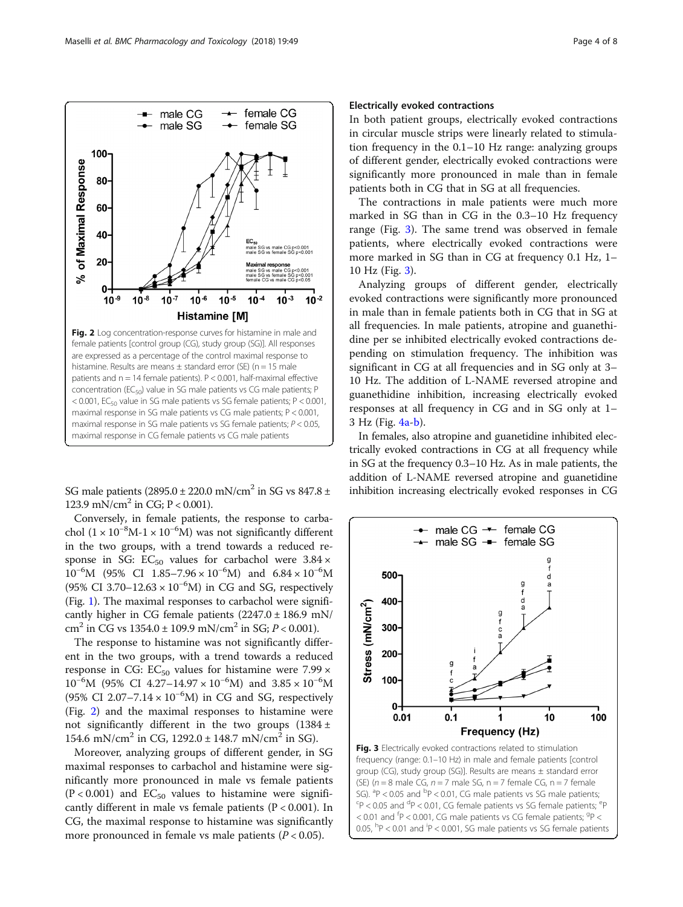

Conversely, in female patients, the response to carbachol (1 × 10<sup>-8</sup>M-1 × 10<sup>-6</sup>M) was not significantly different in the two groups, with a trend towards a reduced response in SG:  $EC_{50}$  values for carbachol were  $3.84 \times$  $10^{-6}$ M (95% CI 1.85–7.96 × 10<sup>-6</sup>M) and 6.84 × 10<sup>-6</sup>M (95% CI 3.70–12.63 ×  $10^{-6}$ M) in CG and SG, respectively (Fig. [1\)](#page-2-0). The maximal responses to carbachol were significantly higher in CG female patients (2247.0 ± 186.9 mN/ cm<sup>2</sup> in CG vs  $1354.0 \pm 109.9$  mN/cm<sup>2</sup> in SG;  $P < 0.001$ ).

The response to histamine was not significantly different in the two groups, with a trend towards a reduced response in CG:  $EC_{50}$  values for histamine were 7.99  $\times$  $10^{-6}$ M (95% CI 4.27–14.97 ×  $10^{-6}$ M) and  $3.85 \times 10^{-6}$ M (95% CI 2.07-7.14 ×  $10^{-6}$ M) in CG and SG, respectively (Fig. 2) and the maximal responses to histamine were not significantly different in the two groups  $(1384 \pm$ 154.6 mN/cm<sup>2</sup> in CG,  $1292.0 \pm 148.7$  mN/cm<sup>2</sup> in SG).

Moreover, analyzing groups of different gender, in SG maximal responses to carbachol and histamine were significantly more pronounced in male vs female patients  $(P < 0.001)$  and  $EC_{50}$  values to histamine were significantly different in male vs female patients (P < 0.001). In CG, the maximal response to histamine was significantly more pronounced in female vs male patients  $(P < 0.05)$ .

## Electrically evoked contractions

In both patient groups, electrically evoked contractions in circular muscle strips were linearly related to stimulation frequency in the 0.1–10 Hz range: analyzing groups of different gender, electrically evoked contractions were significantly more pronounced in male than in female patients both in CG that in SG at all frequencies.

The contractions in male patients were much more marked in SG than in CG in the 0.3–10 Hz frequency range (Fig. 3). The same trend was observed in female patients, where electrically evoked contractions were more marked in SG than in CG at frequency 0.1 Hz, 1– 10 Hz (Fig. 3).

Analyzing groups of different gender, electrically evoked contractions were significantly more pronounced in male than in female patients both in CG that in SG at all frequencies. In male patients, atropine and guanethidine per se inhibited electrically evoked contractions depending on stimulation frequency. The inhibition was significant in CG at all frequencies and in SG only at 3– 10 Hz. The addition of L-NAME reversed atropine and guanethidine inhibition, increasing electrically evoked responses at all frequency in CG and in SG only at 1– 3 Hz (Fig. [4a](#page-4-0)-[b\)](#page-4-0).

In females, also atropine and guanetidine inhibited electrically evoked contractions in CG at all frequency while in SG at the frequency 0.3–10 Hz. As in male patients, the addition of L-NAME reversed atropine and guanetidine inhibition increasing electrically evoked responses in CG

> $\rightarrow$  male CG  $\rightarrow$  female CG - male SG - female SG

500-

400

300

200

100

Stress (mN/cm<sup>2</sup>)

g

d



<span id="page-3-0"></span>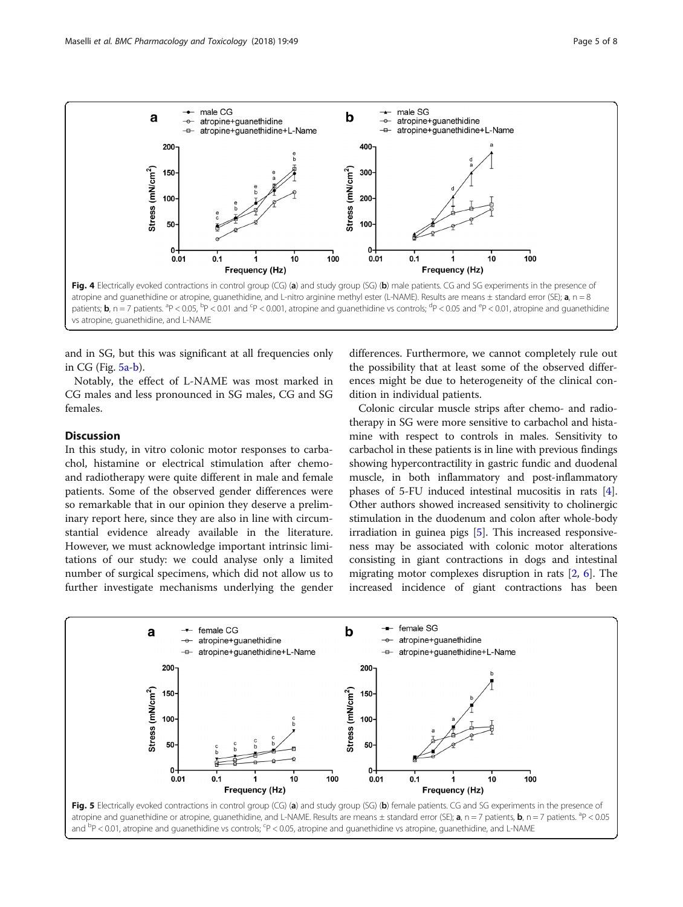<span id="page-4-0"></span>

and in SG, but this was significant at all frequencies only in CG (Fig. 5a-b).

Notably, the effect of L-NAME was most marked in CG males and less pronounced in SG males, CG and SG females.

## **Discussion**

In this study, in vitro colonic motor responses to carbachol, histamine or electrical stimulation after chemoand radiotherapy were quite different in male and female patients. Some of the observed gender differences were so remarkable that in our opinion they deserve a preliminary report here, since they are also in line with circumstantial evidence already available in the literature. However, we must acknowledge important intrinsic limitations of our study: we could analyse only a limited number of surgical specimens, which did not allow us to further investigate mechanisms underlying the gender differences. Furthermore, we cannot completely rule out the possibility that at least some of the observed differences might be due to heterogeneity of the clinical condition in individual patients.

Colonic circular muscle strips after chemo- and radiotherapy in SG were more sensitive to carbachol and histamine with respect to controls in males. Sensitivity to carbachol in these patients is in line with previous findings showing hypercontractility in gastric fundic and duodenal muscle, in both inflammatory and post-inflammatory phases of 5-FU induced intestinal mucositis in rats [[4](#page-6-0)]. Other authors showed increased sensitivity to cholinergic stimulation in the duodenum and colon after whole-body irradiation in guinea pigs [[5](#page-6-0)]. This increased responsiveness may be associated with colonic motor alterations consisting in giant contractions in dogs and intestinal migrating motor complexes disruption in rats [[2](#page-6-0), [6\]](#page-6-0). The increased incidence of giant contractions has been

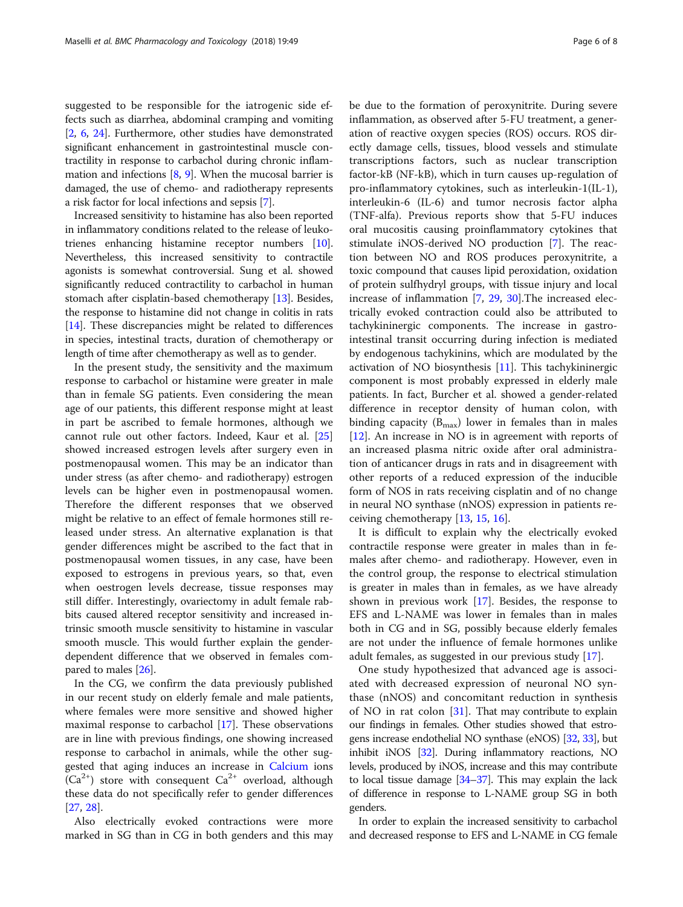suggested to be responsible for the iatrogenic side effects such as diarrhea, abdominal cramping and vomiting [[2,](#page-6-0) [6](#page-6-0), [24\]](#page-7-0). Furthermore, other studies have demonstrated significant enhancement in gastrointestinal muscle contractility in response to carbachol during chronic inflammation and infections [\[8](#page-6-0), [9](#page-6-0)]. When the mucosal barrier is damaged, the use of chemo- and radiotherapy represents a risk factor for local infections and sepsis [\[7](#page-6-0)].

Increased sensitivity to histamine has also been reported in inflammatory conditions related to the release of leukotrienes enhancing histamine receptor numbers [[10](#page-6-0)]. Nevertheless, this increased sensitivity to contractile agonists is somewhat controversial. Sung et al. showed significantly reduced contractility to carbachol in human stomach after cisplatin-based chemotherapy [[13](#page-6-0)]. Besides, the response to histamine did not change in colitis in rats [[14](#page-6-0)]. These discrepancies might be related to differences in species, intestinal tracts, duration of chemotherapy or length of time after chemotherapy as well as to gender.

In the present study, the sensitivity and the maximum response to carbachol or histamine were greater in male than in female SG patients. Even considering the mean age of our patients, this different response might at least in part be ascribed to female hormones, although we cannot rule out other factors. Indeed, Kaur et al. [[25](#page-7-0)] showed increased estrogen levels after surgery even in postmenopausal women. This may be an indicator than under stress (as after chemo- and radiotherapy) estrogen levels can be higher even in postmenopausal women. Therefore the different responses that we observed might be relative to an effect of female hormones still released under stress. An alternative explanation is that gender differences might be ascribed to the fact that in postmenopausal women tissues, in any case, have been exposed to estrogens in previous years, so that, even when oestrogen levels decrease, tissue responses may still differ. Interestingly, ovariectomy in adult female rabbits caused altered receptor sensitivity and increased intrinsic smooth muscle sensitivity to histamine in vascular smooth muscle. This would further explain the genderdependent difference that we observed in females compared to males [\[26\]](#page-7-0).

In the CG, we confirm the data previously published in our recent study on elderly female and male patients, where females were more sensitive and showed higher maximal response to carbachol [[17](#page-6-0)]. These observations are in line with previous findings, one showing increased response to carbachol in animals, while the other suggested that aging induces an increase in [Calcium](https://en.wikipedia.org/wiki/Calcium) ions  $(Ca^{2+})$  store with consequent  $Ca^{2+}$  overload, although these data do not specifically refer to gender differences [[27,](#page-7-0) [28\]](#page-7-0).

Also electrically evoked contractions were more marked in SG than in CG in both genders and this may be due to the formation of peroxynitrite. During severe inflammation, as observed after 5-FU treatment, a generation of reactive oxygen species (ROS) occurs. ROS directly damage cells, tissues, blood vessels and stimulate transcriptions factors, such as nuclear transcription factor-kB (NF-kB), which in turn causes up-regulation of pro-inflammatory cytokines, such as interleukin-1(IL-1), interleukin-6 (IL-6) and tumor necrosis factor alpha (TNF-alfa). Previous reports show that 5-FU induces oral mucositis causing proinflammatory cytokines that stimulate iNOS-derived NO production [[7\]](#page-6-0). The reaction between NO and ROS produces peroxynitrite, a toxic compound that causes lipid peroxidation, oxidation of protein sulfhydryl groups, with tissue injury and local increase of inflammation [\[7](#page-6-0), [29,](#page-7-0) [30\]](#page-7-0).The increased electrically evoked contraction could also be attributed to tachykininergic components. The increase in gastrointestinal transit occurring during infection is mediated by endogenous tachykinins, which are modulated by the activation of NO biosynthesis [\[11](#page-6-0)]. This tachykininergic component is most probably expressed in elderly male patients. In fact, Burcher et al. showed a gender-related difference in receptor density of human colon, with binding capacity  $(B_{\text{max}})$  lower in females than in males [[12\]](#page-6-0). An increase in NO is in agreement with reports of an increased plasma nitric oxide after oral administration of anticancer drugs in rats and in disagreement with other reports of a reduced expression of the inducible form of NOS in rats receiving cisplatin and of no change in neural NO synthase (nNOS) expression in patients receiving chemotherapy [\[13](#page-6-0), [15](#page-6-0), [16\]](#page-6-0).

It is difficult to explain why the electrically evoked contractile response were greater in males than in females after chemo- and radiotherapy. However, even in the control group, the response to electrical stimulation is greater in males than in females, as we have already shown in previous work [[17\]](#page-6-0). Besides, the response to EFS and L-NAME was lower in females than in males both in CG and in SG, possibly because elderly females are not under the influence of female hormones unlike adult females, as suggested in our previous study [\[17](#page-6-0)].

One study hypothesized that advanced age is associated with decreased expression of neuronal NO synthase (nNOS) and concomitant reduction in synthesis of NO in rat colon [\[31](#page-7-0)]. That may contribute to explain our findings in females. Other studies showed that estrogens increase endothelial NO synthase (eNOS) [\[32,](#page-7-0) [33\]](#page-7-0), but inhibit iNOS [\[32\]](#page-7-0). During inflammatory reactions, NO levels, produced by iNOS, increase and this may contribute to local tissue damage [[34](#page-7-0)–[37](#page-7-0)]. This may explain the lack of difference in response to L-NAME group SG in both genders.

In order to explain the increased sensitivity to carbachol and decreased response to EFS and L-NAME in CG female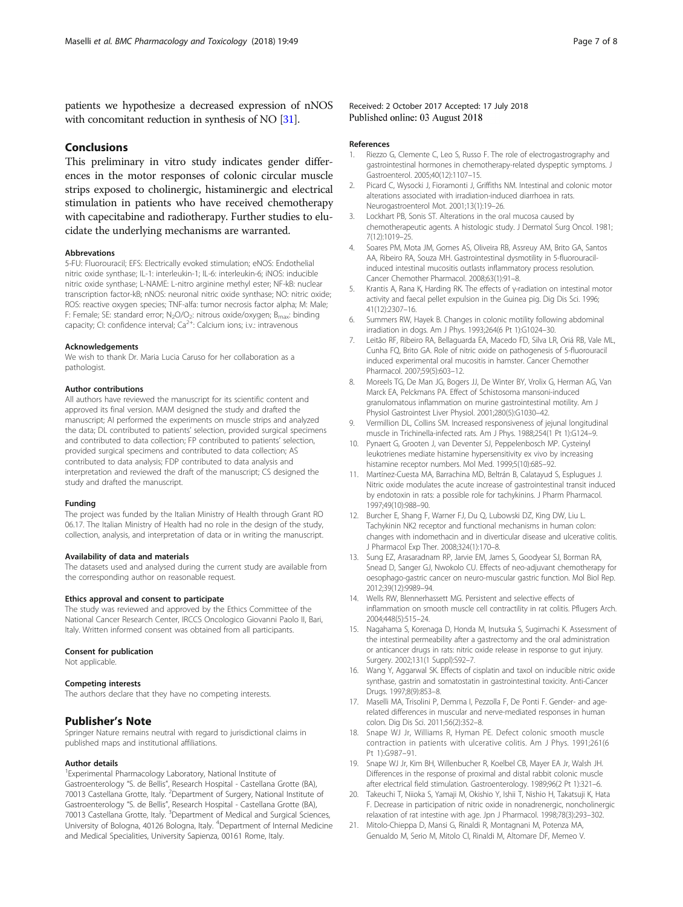<span id="page-6-0"></span>patients we hypothesize a decreased expression of nNOS with concomitant reduction in synthesis of NO [\[31](#page-7-0)].

## Conclusions

This preliminary in vitro study indicates gender differences in the motor responses of colonic circular muscle strips exposed to cholinergic, histaminergic and electrical stimulation in patients who have received chemotherapy with capecitabine and radiotherapy. Further studies to elucidate the underlying mechanisms are warranted.

#### Abbrevations

5-FU: Fluorouracil; EFS: Electrically evoked stimulation; eNOS: Endothelial nitric oxide synthase; IL-1: interleukin-1; IL-6: interleukin-6; iNOS: inducible nitric oxide synthase; L-NAME: L-nitro arginine methyl ester; NF-kB: nuclear transcription factor-kB; nNOS: neuronal nitric oxide synthase; NO: nitric oxide; ROS: reactive oxygen species; TNF-alfa: tumor necrosis factor alpha; M: Male; F: Female; SE: standard error; N<sub>2</sub>O/O<sub>2</sub>: nitrous oxide/oxygen; B<sub>max</sub>: binding<br>capacity; CI: confidence interval; Ca<sup>2+</sup>: Calcium ions; i.v.: intravenous

#### Acknowledgements

We wish to thank Dr. Maria Lucia Caruso for her collaboration as a pathologist.

#### Author contributions

All authors have reviewed the manuscript for its scientific content and approved its final version. MAM designed the study and drafted the manuscript; AI performed the experiments on muscle strips and analyzed the data; DL contributed to patients' selection, provided surgical specimens and contributed to data collection; FP contributed to patients' selection, provided surgical specimens and contributed to data collection; AS contributed to data analysis; FDP contributed to data analysis and interpretation and reviewed the draft of the manuscript; CS designed the study and drafted the manuscript.

#### Funding

The project was funded by the Italian Ministry of Health through Grant RO 06.17. The Italian Ministry of Health had no role in the design of the study, collection, analysis, and interpretation of data or in writing the manuscript.

#### Availability of data and materials

The datasets used and analysed during the current study are available from the corresponding author on reasonable request.

#### Ethics approval and consent to participate

The study was reviewed and approved by the Ethics Committee of the National Cancer Research Center, IRCCS Oncologico Giovanni Paolo II, Bari, Italy. Written informed consent was obtained from all participants.

#### Consent for publication

Not applicable.

#### Competing interests

The authors declare that they have no competing interests.

#### Publisher's Note

Springer Nature remains neutral with regard to jurisdictional claims in published maps and institutional affiliations.

#### Author details

<sup>1</sup> Experimental Pharmacology Laboratory, National Institute of Gastroenterology "S. de Bellis", Research Hospital - Castellana Grotte (BA), 70013 Castellana Grotte, Italy. <sup>2</sup>Department of Surgery, National Institute of Gastroenterology "S. de Bellis", Research Hospital - Castellana Grotte (BA),<br>70013 Castellana Grotte, Italy. <sup>3</sup>Department of Medical and Surgical Sciences, University of Bologna, 40126 Bologna, Italy. <sup>4</sup>Department of Internal Medicine and Medical Specialities, University Sapienza, 00161 Rome, Italy.

#### Received: 2 October 2017 Accepted: 17 July 2018 Published online: 03 August 2018

#### References

- 1. Riezzo G, Clemente C, Leo S, Russo F. The role of electrogastrography and gastrointestinal hormones in chemotherapy-related dyspeptic symptoms. J Gastroenterol. 2005;40(12):1107–15.
- 2. Picard C, Wysocki J, Fioramonti J, Griffiths NM. Intestinal and colonic motor alterations associated with irradiation-induced diarrhoea in rats. Neurogastroenterol Mot. 2001;13(1):19–26.
- 3. Lockhart PB, Sonis ST. Alterations in the oral mucosa caused by chemotherapeutic agents. A histologic study. J Dermatol Surg Oncol. 1981; 7(12):1019–25.
- 4. Soares PM, Mota JM, Gomes AS, Oliveira RB, Assreuy AM, Brito GA, Santos AA, Ribeiro RA, Souza MH. Gastrointestinal dysmotility in 5-fluorouracilinduced intestinal mucositis outlasts inflammatory process resolution. Cancer Chemother Pharmacol. 2008;63(1):91–8.
- 5. Krantis A, Rana K, Harding RK. The effects of γ-radiation on intestinal motor activity and faecal pellet expulsion in the Guinea pig. Dig Dis Sci. 1996; 41(12):2307–16.
- 6. Summers RW, Hayek B. Changes in colonic motility following abdominal irradiation in dogs. Am J Phys. 1993;264(6 Pt 1):G1024–30.
- 7. Leitão RF, Ribeiro RA, Bellaguarda EA, Macedo FD, Silva LR, Oriá RB, Vale ML, Cunha FQ, Brito GA. Role of nitric oxide on pathogenesis of 5-fluorouracil induced experimental oral mucositis in hamster. Cancer Chemother Pharmacol. 2007;59(5):603–12.
- 8. Moreels TG, De Man JG, Bogers JJ, De Winter BY, Vrolix G, Herman AG, Van Marck EA, Pelckmans PA. Effect of Schistosoma mansoni-induced granulomatous inflammation on murine gastrointestinal motility. Am J Physiol Gastrointest Liver Physiol. 2001;280(5):G1030–42.
- 9. Vermillion DL, Collins SM. Increased responsiveness of jejunal longitudinal muscle in Trichinella-infected rats. Am J Phys. 1988;254(1 Pt 1):G124–9.
- 10. Pynaert G, Grooten J, van Deventer SJ, Peppelenbosch MP. Cysteinyl leukotrienes mediate histamine hypersensitivity ex vivo by increasing histamine receptor numbers. Mol Med. 1999;5(10):685–92.
- 11. Martínez-Cuesta MA, Barrachina MD, Beltrán B, Calatayud S, Esplugues J. Nitric oxide modulates the acute increase of gastrointestinal transit induced by endotoxin in rats: a possible role for tachykinins. J Pharm Pharmacol. 1997;49(10):988–90.
- 12. Burcher E, Shang F, Warner FJ, Du Q, Lubowski DZ, King DW, Liu L. Tachykinin NK2 receptor and functional mechanisms in human colon: changes with indomethacin and in diverticular disease and ulcerative colitis. J Pharmacol Exp Ther. 2008;324(1):170–8.
- 13. Sung EZ, Arasaradnam RP, Jarvie EM, James S, Goodyear SJ, Borman RA, Snead D, Sanger GJ, Nwokolo CU. Effects of neo-adjuvant chemotherapy for oesophago-gastric cancer on neuro-muscular gastric function. Mol Biol Rep. 2012;39(12):9989–94.
- 14. Wells RW, Blennerhassett MG. Persistent and selective effects of inflammation on smooth muscle cell contractility in rat colitis. Pflugers Arch. 2004;448(5):515–24.
- 15. Nagahama S, Korenaga D, Honda M, Inutsuka S, Sugimachi K. Assessment of the intestinal permeability after a gastrectomy and the oral administration or anticancer drugs in rats: nitric oxide release in response to gut injury. Surgery. 2002;131(1 Suppl):S92–7.
- 16. Wang Y, Aggarwal SK. Effects of cisplatin and taxol on inducible nitric oxide synthase, gastrin and somatostatin in gastrointestinal toxicity. Anti-Cancer Drugs. 1997;8(9):853–8.
- 17. Maselli MA, Trisolini P, Demma I, Pezzolla F, De Ponti F. Gender- and agerelated differences in muscular and nerve-mediated responses in human colon. Dig Dis Sci. 2011;56(2):352–8.
- 18. Snape WJ Jr, Williams R, Hyman PE. Defect colonic smooth muscle contraction in patients with ulcerative colitis. Am J Phys. 1991;261(6 Pt 1):G987–91.
- 19. Snape WJ Jr, Kim BH, Willenbucher R, Koelbel CB, Mayer EA Jr, Walsh JH. Differences in the response of proximal and distal rabbit colonic muscle after electrical field stimulation. Gastroenterology. 1989;96(2 Pt 1):321–6.
- 20. Takeuchi T, Niioka S, Yamaji M, Okishio Y, Ishii T, Nishio H, Takatsuji K, Hata F. Decrease in participation of nitric oxide in nonadrenergic, noncholinergic relaxation of rat intestine with age. Jpn J Pharmacol. 1998;78(3):293–302.
- 21. Mitolo-Chieppa D, Mansi G, Rinaldi R, Montagnani M, Potenza MA, Genualdo M, Serio M, Mitolo CI, Rinaldi M, Altomare DF, Memeo V.